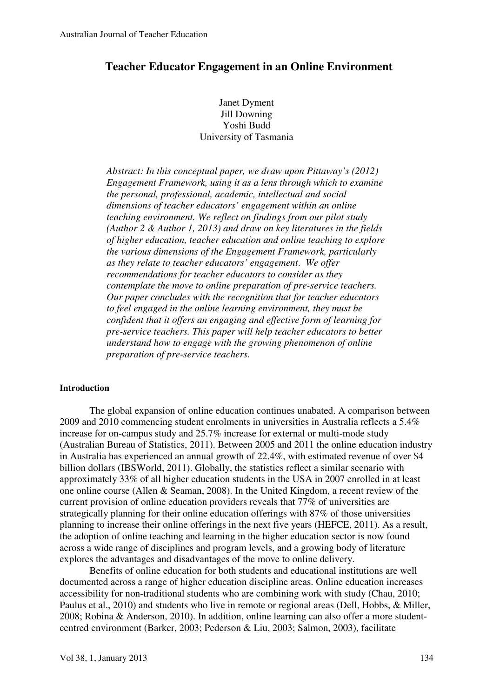# **Teacher Educator Engagement in an Online Environment**

Janet Dyment Jill Downing Yoshi Budd University of Tasmania

*Abstract: In this conceptual paper, we draw upon Pittaway's (2012) Engagement Framework, using it as a lens through which to examine the personal, professional, academic, intellectual and social dimensions of teacher educators' engagement within an online teaching environment. We reflect on findings from our pilot study (Author 2 & Author 1, 2013) and draw on key literatures in the fields of higher education, teacher education and online teaching to explore the various dimensions of the Engagement Framework, particularly as they relate to teacher educators' engagement*. *We offer recommendations for teacher educators to consider as they contemplate the move to online preparation of pre-service teachers. Our paper concludes with the recognition that for teacher educators to feel engaged in the online learning environment, they must be confident that it offers an engaging and effective form of learning for pre-service teachers. This paper will help teacher educators to better understand how to engage with the growing phenomenon of online preparation of pre-service teachers.* 

#### **Introduction**

The global expansion of online education continues unabated. A comparison between 2009 and 2010 commencing student enrolments in universities in Australia reflects a 5.4% increase for on-campus study and 25.7% increase for external or multi-mode study (Australian Bureau of Statistics, 2011). Between 2005 and 2011 the online education industry in Australia has experienced an annual growth of 22.4%, with estimated revenue of over \$4 billion dollars (IBSWorld, 2011). Globally, the statistics reflect a similar scenario with approximately 33% of all higher education students in the USA in 2007 enrolled in at least one online course (Allen & Seaman, 2008). In the United Kingdom, a recent review of the current provision of online education providers reveals that 77% of universities are strategically planning for their online education offerings with 87% of those universities planning to increase their online offerings in the next five years (HEFCE, 2011). As a result, the adoption of online teaching and learning in the higher education sector is now found across a wide range of disciplines and program levels, and a growing body of literature explores the advantages and disadvantages of the move to online delivery.

Benefits of online education for both students and educational institutions are well documented across a range of higher education discipline areas. Online education increases accessibility for non-traditional students who are combining work with study (Chau, 2010; Paulus et al., 2010) and students who live in remote or regional areas (Dell, Hobbs, & Miller, 2008; Robina & Anderson, 2010). In addition, online learning can also offer a more studentcentred environment (Barker, 2003; Pederson & Liu, 2003; Salmon, 2003), facilitate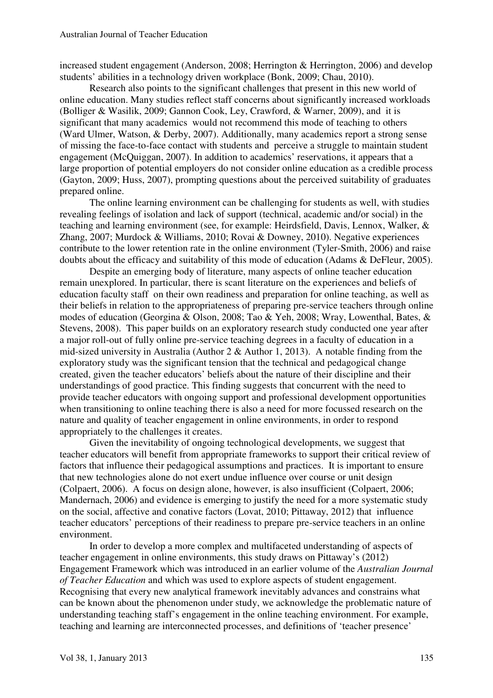increased student engagement (Anderson, 2008; Herrington & Herrington, 2006) and develop students' abilities in a technology driven workplace (Bonk, 2009; Chau, 2010).

 Research also points to the significant challenges that present in this new world of online education. Many studies reflect staff concerns about significantly increased workloads (Bolliger & Wasilik, 2009; Gannon Cook, Ley, Crawford, & Warner, 2009), and it is significant that many academics would not recommend this mode of teaching to others (Ward Ulmer, Watson, & Derby, 2007). Additionally, many academics report a strong sense of missing the face-to-face contact with students and perceive a struggle to maintain student engagement (McQuiggan, 2007). In addition to academics' reservations, it appears that a large proportion of potential employers do not consider online education as a credible process (Gayton, 2009; Huss, 2007), prompting questions about the perceived suitability of graduates prepared online.

 The online learning environment can be challenging for students as well, with studies revealing feelings of isolation and lack of support (technical, academic and/or social) in the teaching and learning environment (see, for example: Heirdsfield, Davis, Lennox, Walker, & Zhang, 2007; Murdock & Williams, 2010; Rovai & Downey, 2010). Negative experiences contribute to the lower retention rate in the online environment (Tyler-Smith, 2006) and raise doubts about the efficacy and suitability of this mode of education (Adams & DeFleur, 2005).

 Despite an emerging body of literature, many aspects of online teacher education remain unexplored. In particular, there is scant literature on the experiences and beliefs of education faculty staff on their own readiness and preparation for online teaching, as well as their beliefs in relation to the appropriateness of preparing pre-service teachers through online modes of education (Georgina & Olson, 2008; Tao & Yeh, 2008; Wray, Lowenthal, Bates, & Stevens, 2008). This paper builds on an exploratory research study conducted one year after a major roll-out of fully online pre-service teaching degrees in a faculty of education in a mid-sized university in Australia (Author 2 & Author 1, 2013). A notable finding from the exploratory study was the significant tension that the technical and pedagogical change created, given the teacher educators' beliefs about the nature of their discipline and their understandings of good practice. This finding suggests that concurrent with the need to provide teacher educators with ongoing support and professional development opportunities when transitioning to online teaching there is also a need for more focussed research on the nature and quality of teacher engagement in online environments, in order to respond appropriately to the challenges it creates.

Given the inevitability of ongoing technological developments, we suggest that teacher educators will benefit from appropriate frameworks to support their critical review of factors that influence their pedagogical assumptions and practices. It is important to ensure that new technologies alone do not exert undue influence over course or unit design (Colpaert, 2006). A focus on design alone, however, is also insufficient (Colpaert, 2006; Mandernach, 2006) and evidence is emerging to justify the need for a more systematic study on the social, affective and conative factors (Lovat, 2010; Pittaway, 2012) that influence teacher educators' perceptions of their readiness to prepare pre-service teachers in an online environment.

 In order to develop a more complex and multifaceted understanding of aspects of teacher engagement in online environments, this study draws on Pittaway's (2012) Engagement Framework which was introduced in an earlier volume of the *Australian Journal of Teacher Education* and which was used to explore aspects of student engagement. Recognising that every new analytical framework inevitably advances and constrains what can be known about the phenomenon under study, we acknowledge the problematic nature of understanding teaching staff's engagement in the online teaching environment. For example, teaching and learning are interconnected processes, and definitions of 'teacher presence'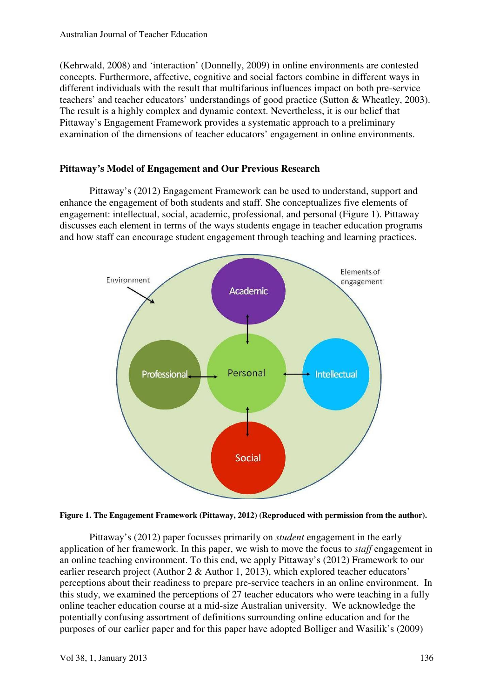(Kehrwald, 2008) and 'interaction' (Donnelly, 2009) in online environments are contested concepts. Furthermore, affective, cognitive and social factors combine in different ways in different individuals with the result that multifarious influences impact on both pre-service teachers' and teacher educators' understandings of good practice (Sutton & Wheatley, 2003). The result is a highly complex and dynamic context. Nevertheless, it is our belief that Pittaway's Engagement Framework provides a systematic approach to a preliminary examination of the dimensions of teacher educators' engagement in online environments.

# **Pittaway's Model of Engagement and Our Previous Research**

 Pittaway's (2012) Engagement Framework can be used to understand, support and enhance the engagement of both students and staff. She conceptualizes five elements of engagement: intellectual, social, academic, professional, and personal (Figure 1). Pittaway discusses each element in terms of the ways students engage in teacher education programs and how staff can encourage student engagement through teaching and learning practices.



**Figure 1. The Engagement Framework (Pittaway, 2012) (Reproduced with permission from the author).** 

Pittaway's (2012) paper focusses primarily on *student* engagement in the early application of her framework. In this paper, we wish to move the focus to *staff* engagement in an online teaching environment. To this end, we apply Pittaway's (2012) Framework to our earlier research project (Author 2 & Author 1, 2013), which explored teacher educators' perceptions about their readiness to prepare pre-service teachers in an online environment. In this study, we examined the perceptions of 27 teacher educators who were teaching in a fully online teacher education course at a mid-size Australian university. We acknowledge the potentially confusing assortment of definitions surrounding online education and for the purposes of our earlier paper and for this paper have adopted Bolliger and Wasilik's (2009)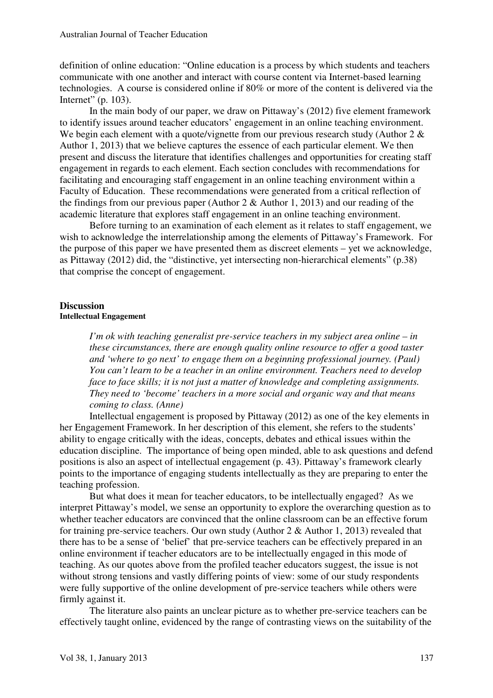definition of online education: "Online education is a process by which students and teachers communicate with one another and interact with course content via Internet-based learning technologies. A course is considered online if 80% or more of the content is delivered via the Internet" (p. 103).

In the main body of our paper, we draw on Pittaway's (2012) five element framework to identify issues around teacher educators' engagement in an online teaching environment. We begin each element with a quote/vignette from our previous research study (Author 2  $\&$ Author 1, 2013) that we believe captures the essence of each particular element. We then present and discuss the literature that identifies challenges and opportunities for creating staff engagement in regards to each element. Each section concludes with recommendations for facilitating and encouraging staff engagement in an online teaching environment within a Faculty of Education. These recommendations were generated from a critical reflection of the findings from our previous paper (Author 2  $\&$  Author 1, 2013) and our reading of the academic literature that explores staff engagement in an online teaching environment.

 Before turning to an examination of each element as it relates to staff engagement, we wish to acknowledge the interrelationship among the elements of Pittaway's Framework. For the purpose of this paper we have presented them as discreet elements – yet we acknowledge, as Pittaway (2012) did, the "distinctive, yet intersecting non-hierarchical elements" (p.38) that comprise the concept of engagement.

#### **Discussion Intellectual Engagement**

*I'm ok with teaching generalist pre-service teachers in my subject area online – in these circumstances, there are enough quality online resource to offer a good taster and 'where to go next' to engage them on a beginning professional journey. (Paul) You can't learn to be a teacher in an online environment. Teachers need to develop face to face skills; it is not just a matter of knowledge and completing assignments. They need to 'become' teachers in a more social and organic way and that means coming to class. (Anne)* 

 Intellectual engagement is proposed by Pittaway (2012) as one of the key elements in her Engagement Framework. In her description of this element, she refers to the students' ability to engage critically with the ideas, concepts, debates and ethical issues within the education discipline. The importance of being open minded, able to ask questions and defend positions is also an aspect of intellectual engagement (p. 43). Pittaway's framework clearly points to the importance of engaging students intellectually as they are preparing to enter the teaching profession.

But what does it mean for teacher educators, to be intellectually engaged? As we interpret Pittaway's model, we sense an opportunity to explore the overarching question as to whether teacher educators are convinced that the online classroom can be an effective forum for training pre-service teachers. Our own study (Author 2 & Author 1, 2013) revealed that there has to be a sense of 'belief' that pre-service teachers can be effectively prepared in an online environment if teacher educators are to be intellectually engaged in this mode of teaching. As our quotes above from the profiled teacher educators suggest, the issue is not without strong tensions and vastly differing points of view: some of our study respondents were fully supportive of the online development of pre-service teachers while others were firmly against it.

The literature also paints an unclear picture as to whether pre-service teachers can be effectively taught online, evidenced by the range of contrasting views on the suitability of the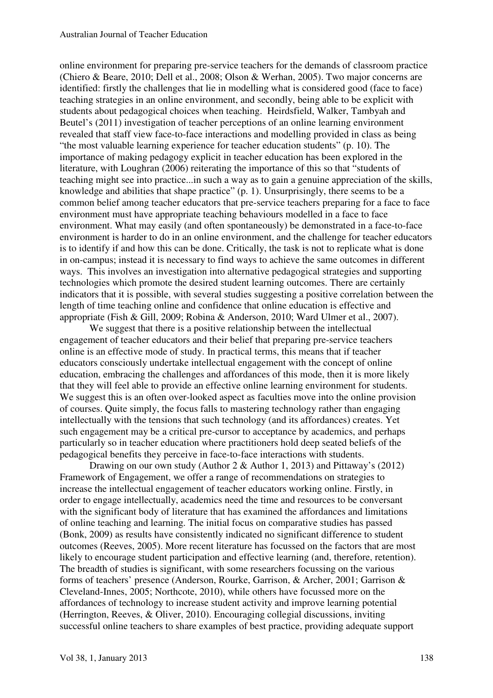online environment for preparing pre-service teachers for the demands of classroom practice (Chiero & Beare, 2010; Dell et al., 2008; Olson & Werhan, 2005). Two major concerns are identified: firstly the challenges that lie in modelling what is considered good (face to face) teaching strategies in an online environment, and secondly, being able to be explicit with students about pedagogical choices when teaching. Heirdsfield, Walker, Tambyah and Beutel's (2011) investigation of teacher perceptions of an online learning environment revealed that staff view face-to-face interactions and modelling provided in class as being "the most valuable learning experience for teacher education students" (p. 10). The importance of making pedagogy explicit in teacher education has been explored in the literature, with Loughran (2006) reiterating the importance of this so that "students of teaching might see into practice...in such a way as to gain a genuine appreciation of the skills, knowledge and abilities that shape practice" (p. 1). Unsurprisingly, there seems to be a common belief among teacher educators that pre-service teachers preparing for a face to face environment must have appropriate teaching behaviours modelled in a face to face environment. What may easily (and often spontaneously) be demonstrated in a face-to-face environment is harder to do in an online environment, and the challenge for teacher educators is to identify if and how this can be done. Critically, the task is not to replicate what is done in on-campus; instead it is necessary to find ways to achieve the same outcomes in different ways. This involves an investigation into alternative pedagogical strategies and supporting technologies which promote the desired student learning outcomes. There are certainly indicators that it is possible, with several studies suggesting a positive correlation between the length of time teaching online and confidence that online education is effective and appropriate (Fish & Gill, 2009; Robina & Anderson, 2010; Ward Ulmer et al., 2007).

We suggest that there is a positive relationship between the intellectual engagement of teacher educators and their belief that preparing pre-service teachers online is an effective mode of study. In practical terms, this means that if teacher educators consciously undertake intellectual engagement with the concept of online education, embracing the challenges and affordances of this mode, then it is more likely that they will feel able to provide an effective online learning environment for students. We suggest this is an often over-looked aspect as faculties move into the online provision of courses. Quite simply, the focus falls to mastering technology rather than engaging intellectually with the tensions that such technology (and its affordances) creates. Yet such engagement may be a critical pre-cursor to acceptance by academics, and perhaps particularly so in teacher education where practitioners hold deep seated beliefs of the pedagogical benefits they perceive in face-to-face interactions with students.

Drawing on our own study (Author 2 & Author 1, 2013) and Pittaway's (2012) Framework of Engagement, we offer a range of recommendations on strategies to increase the intellectual engagement of teacher educators working online. Firstly, in order to engage intellectually, academics need the time and resources to be conversant with the significant body of literature that has examined the affordances and limitations of online teaching and learning. The initial focus on comparative studies has passed (Bonk, 2009) as results have consistently indicated no significant difference to student outcomes (Reeves, 2005). More recent literature has focussed on the factors that are most likely to encourage student participation and effective learning (and, therefore, retention). The breadth of studies is significant, with some researchers focussing on the various forms of teachers' presence (Anderson, Rourke, Garrison, & Archer, 2001; Garrison & Cleveland-Innes, 2005; Northcote, 2010), while others have focussed more on the affordances of technology to increase student activity and improve learning potential (Herrington, Reeves, & Oliver, 2010). Encouraging collegial discussions, inviting successful online teachers to share examples of best practice, providing adequate support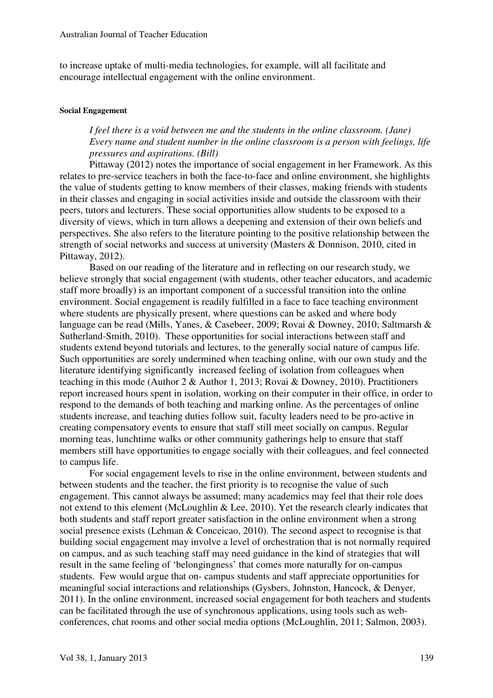to increase uptake of multi-media technologies, for example, will all facilitate and encourage intellectual engagement with the online environment.

#### **Social Engagement**

# *I feel there is a void between me and the students in the online classroom. (Jane) Every name and student number in the online classroom is a person with feelings, life pressures and aspirations. (Bill)*

Pittaway (2012) notes the importance of social engagement in her Framework. As this relates to pre-service teachers in both the face-to-face and online environment, she highlights the value of students getting to know members of their classes, making friends with students in their classes and engaging in social activities inside and outside the classroom with their peers, tutors and lecturers. These social opportunities allow students to be exposed to a diversity of views, which in turn allows a deepening and extension of their own beliefs and perspectives. She also refers to the literature pointing to the positive relationship between the strength of social networks and success at university (Masters & Donnison, 2010, cited in Pittaway, 2012).

Based on our reading of the literature and in reflecting on our research study, we believe strongly that social engagement (with students, other teacher educators, and academic staff more broadly) is an important component of a successful transition into the online environment. Social engagement is readily fulfilled in a face to face teaching environment where students are physically present, where questions can be asked and where body language can be read (Mills, Yanes, & Casebeer, 2009; Rovai & Downey, 2010; Saltmarsh & Sutherland-Smith, 2010). These opportunities for social interactions between staff and students extend beyond tutorials and lectures, to the generally social nature of campus life. Such opportunities are sorely undermined when teaching online, with our own study and the literature identifying significantly increased feeling of isolation from colleagues when teaching in this mode (Author 2 & Author 1, 2013; Rovai & Downey, 2010). Practitioners report increased hours spent in isolation, working on their computer in their office, in order to respond to the demands of both teaching and marking online. As the percentages of online students increase, and teaching duties follow suit, faculty leaders need to be pro-active in creating compensatory events to ensure that staff still meet socially on campus. Regular morning teas, lunchtime walks or other community gatherings help to ensure that staff members still have opportunities to engage socially with their colleagues, and feel connected to campus life.

For social engagement levels to rise in the online environment, between students and between students and the teacher, the first priority is to recognise the value of such engagement. This cannot always be assumed; many academics may feel that their role does not extend to this element (McLoughlin & Lee, 2010). Yet the research clearly indicates that both students and staff report greater satisfaction in the online environment when a strong social presence exists (Lehman & Conceicao, 2010). The second aspect to recognise is that building social engagement may involve a level of orchestration that is not normally required on campus, and as such teaching staff may need guidance in the kind of strategies that will result in the same feeling of 'belongingness' that comes more naturally for on-campus students. Few would argue that on- campus students and staff appreciate opportunities for meaningful social interactions and relationships (Gysbers, Johnston, Hancock, & Denyer, 2011). In the online environment, increased social engagement for both teachers and students can be facilitated through the use of synchronous applications, using tools such as webconferences, chat rooms and other social media options (McLoughlin, 2011; Salmon, 2003).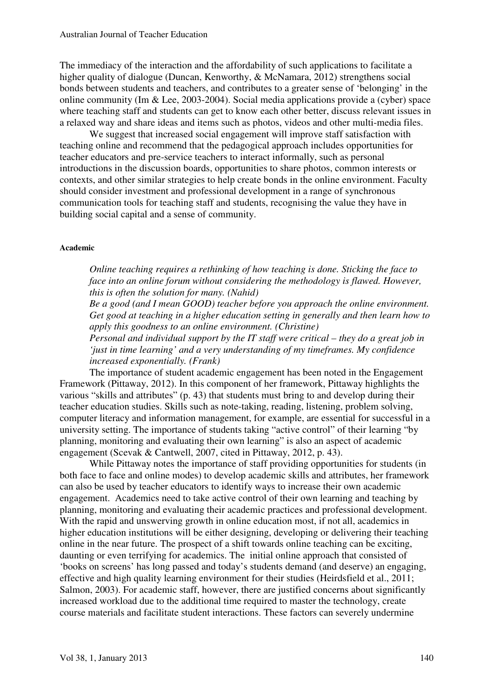The immediacy of the interaction and the affordability of such applications to facilitate a higher quality of dialogue (Duncan, Kenworthy, & McNamara, 2012) strengthens social bonds between students and teachers, and contributes to a greater sense of 'belonging' in the online community (Im & Lee, 2003-2004). Social media applications provide a (cyber) space where teaching staff and students can get to know each other better, discuss relevant issues in a relaxed way and share ideas and items such as photos, videos and other multi-media files.

We suggest that increased social engagement will improve staff satisfaction with teaching online and recommend that the pedagogical approach includes opportunities for teacher educators and pre-service teachers to interact informally, such as personal introductions in the discussion boards, opportunities to share photos, common interests or contexts, and other similar strategies to help create bonds in the online environment. Faculty should consider investment and professional development in a range of synchronous communication tools for teaching staff and students, recognising the value they have in building social capital and a sense of community.

#### **Academic**

*Online teaching requires a rethinking of how teaching is done. Sticking the face to face into an online forum without considering the methodology is flawed. However, this is often the solution for many. (Nahid)* 

*Be a good (and I mean GOOD) teacher before you approach the online environment. Get good at teaching in a higher education setting in generally and then learn how to apply this goodness to an online environment. (Christine)* 

*Personal and individual support by the IT staff were critical – they do a great job in 'just in time learning' and a very understanding of my timeframes. My confidence increased exponentially. (Frank)* 

The importance of student academic engagement has been noted in the Engagement Framework (Pittaway, 2012). In this component of her framework, Pittaway highlights the various "skills and attributes" (p. 43) that students must bring to and develop during their teacher education studies. Skills such as note-taking, reading, listening, problem solving, computer literacy and information management, for example, are essential for successful in a university setting. The importance of students taking "active control" of their learning "by planning, monitoring and evaluating their own learning" is also an aspect of academic engagement (Scevak & Cantwell, 2007, cited in Pittaway, 2012, p. 43).

While Pittaway notes the importance of staff providing opportunities for students (in both face to face and online modes) to develop academic skills and attributes, her framework can also be used by teacher educators to identify ways to increase their own academic engagement. Academics need to take active control of their own learning and teaching by planning, monitoring and evaluating their academic practices and professional development. With the rapid and unswerving growth in online education most, if not all, academics in higher education institutions will be either designing, developing or delivering their teaching online in the near future. The prospect of a shift towards online teaching can be exciting, daunting or even terrifying for academics. The initial online approach that consisted of 'books on screens' has long passed and today's students demand (and deserve) an engaging, effective and high quality learning environment for their studies (Heirdsfield et al., 2011; Salmon, 2003). For academic staff, however, there are justified concerns about significantly increased workload due to the additional time required to master the technology, create course materials and facilitate student interactions. These factors can severely undermine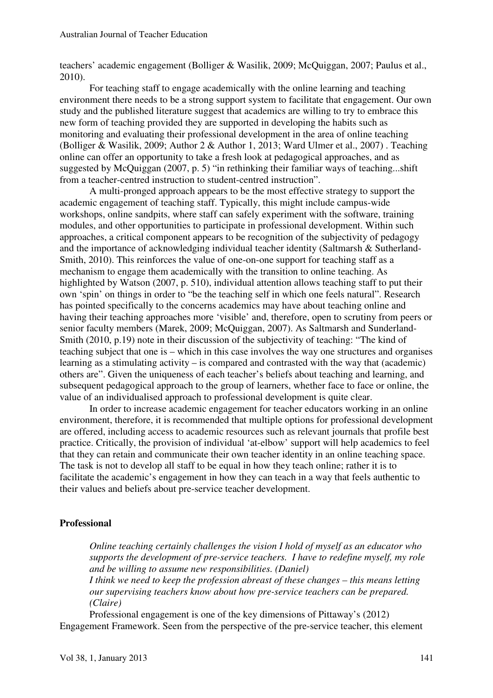teachers' academic engagement (Bolliger & Wasilik, 2009; McQuiggan, 2007; Paulus et al., 2010).

For teaching staff to engage academically with the online learning and teaching environment there needs to be a strong support system to facilitate that engagement. Our own study and the published literature suggest that academics are willing to try to embrace this new form of teaching provided they are supported in developing the habits such as monitoring and evaluating their professional development in the area of online teaching (Bolliger & Wasilik, 2009; Author 2 & Author 1, 2013; Ward Ulmer et al., 2007) . Teaching online can offer an opportunity to take a fresh look at pedagogical approaches, and as suggested by McQuiggan (2007, p. 5) "in rethinking their familiar ways of teaching...shift from a teacher-centred instruction to student-centred instruction".

 A multi-pronged approach appears to be the most effective strategy to support the academic engagement of teaching staff. Typically, this might include campus-wide workshops, online sandpits, where staff can safely experiment with the software, training modules, and other opportunities to participate in professional development. Within such approaches, a critical component appears to be recognition of the subjectivity of pedagogy and the importance of acknowledging individual teacher identity (Saltmarsh & Sutherland-Smith, 2010). This reinforces the value of one-on-one support for teaching staff as a mechanism to engage them academically with the transition to online teaching. As highlighted by Watson (2007, p. 510), individual attention allows teaching staff to put their own 'spin' on things in order to "be the teaching self in which one feels natural". Research has pointed specifically to the concerns academics may have about teaching online and having their teaching approaches more 'visible' and, therefore, open to scrutiny from peers or senior faculty members (Marek, 2009; McQuiggan, 2007). As Saltmarsh and Sunderland-Smith (2010, p.19) note in their discussion of the subjectivity of teaching: "The kind of teaching subject that one is – which in this case involves the way one structures and organises learning as a stimulating activity – is compared and contrasted with the way that (academic) others are". Given the uniqueness of each teacher's beliefs about teaching and learning, and subsequent pedagogical approach to the group of learners, whether face to face or online, the value of an individualised approach to professional development is quite clear.

 In order to increase academic engagement for teacher educators working in an online environment, therefore, it is recommended that multiple options for professional development are offered, including access to academic resources such as relevant journals that profile best practice. Critically, the provision of individual 'at-elbow' support will help academics to feel that they can retain and communicate their own teacher identity in an online teaching space. The task is not to develop all staff to be equal in how they teach online; rather it is to facilitate the academic's engagement in how they can teach in a way that feels authentic to their values and beliefs about pre-service teacher development.

### **Professional**

*Online teaching certainly challenges the vision I hold of myself as an educator who supports the development of pre-service teachers. I have to redefine myself, my role and be willing to assume new responsibilities. (Daniel) I think we need to keep the profession abreast of these changes – this means letting our supervising teachers know about how pre-service teachers can be prepared.* 

*(Claire)* 

Professional engagement is one of the key dimensions of Pittaway's (2012) Engagement Framework. Seen from the perspective of the pre-service teacher, this element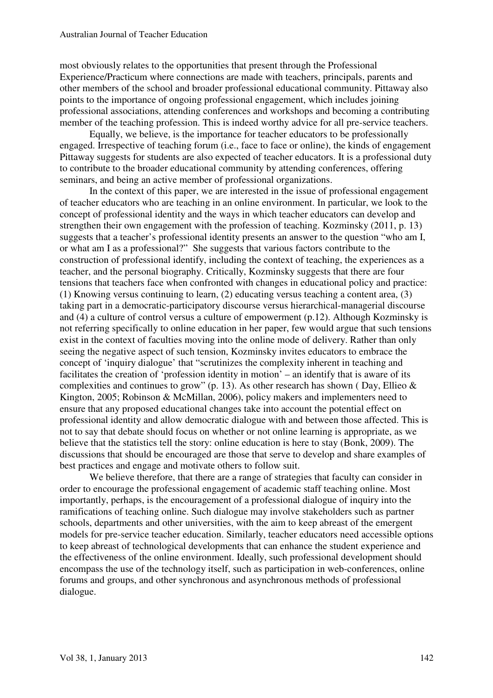most obviously relates to the opportunities that present through the Professional Experience/Practicum where connections are made with teachers, principals, parents and other members of the school and broader professional educational community. Pittaway also points to the importance of ongoing professional engagement, which includes joining professional associations, attending conferences and workshops and becoming a contributing member of the teaching profession. This is indeed worthy advice for all pre-service teachers.

Equally, we believe, is the importance for teacher educators to be professionally engaged. Irrespective of teaching forum (i.e., face to face or online), the kinds of engagement Pittaway suggests for students are also expected of teacher educators. It is a professional duty to contribute to the broader educational community by attending conferences, offering seminars, and being an active member of professional organizations.

In the context of this paper, we are interested in the issue of professional engagement of teacher educators who are teaching in an online environment. In particular, we look to the concept of professional identity and the ways in which teacher educators can develop and strengthen their own engagement with the profession of teaching. Kozminsky (2011, p. 13) suggests that a teacher's professional identity presents an answer to the question "who am I, or what am I as a professional?" She suggests that various factors contribute to the construction of professional identify, including the context of teaching, the experiences as a teacher, and the personal biography. Critically, Kozminsky suggests that there are four tensions that teachers face when confronted with changes in educational policy and practice: (1) Knowing versus continuing to learn, (2) educating versus teaching a content area, (3) taking part in a democratic-participatory discourse versus hierarchical-managerial discourse and (4) a culture of control versus a culture of empowerment (p.12). Although Kozminsky is not referring specifically to online education in her paper, few would argue that such tensions exist in the context of faculties moving into the online mode of delivery. Rather than only seeing the negative aspect of such tension, Kozminsky invites educators to embrace the concept of 'inquiry dialogue' that "scrutinizes the complexity inherent in teaching and facilitates the creation of 'profession identity in motion' – an identify that is aware of its complexities and continues to grow" (p. 13). As other research has shown (Day, Ellieo  $\&$ Kington, 2005; Robinson & McMillan, 2006), policy makers and implementers need to ensure that any proposed educational changes take into account the potential effect on professional identity and allow democratic dialogue with and between those affected. This is not to say that debate should focus on whether or not online learning is appropriate, as we believe that the statistics tell the story: online education is here to stay (Bonk, 2009). The discussions that should be encouraged are those that serve to develop and share examples of best practices and engage and motivate others to follow suit.

We believe therefore, that there are a range of strategies that faculty can consider in order to encourage the professional engagement of academic staff teaching online. Most importantly, perhaps, is the encouragement of a professional dialogue of inquiry into the ramifications of teaching online. Such dialogue may involve stakeholders such as partner schools, departments and other universities, with the aim to keep abreast of the emergent models for pre-service teacher education. Similarly, teacher educators need accessible options to keep abreast of technological developments that can enhance the student experience and the effectiveness of the online environment. Ideally, such professional development should encompass the use of the technology itself, such as participation in web-conferences, online forums and groups, and other synchronous and asynchronous methods of professional dialogue.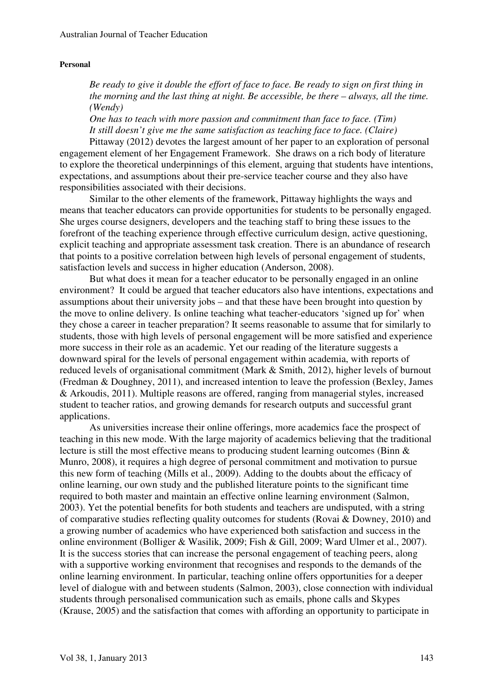#### **Personal**

*Be ready to give it double the effort of face to face. Be ready to sign on first thing in the morning and the last thing at night. Be accessible, be there – always, all the time. (Wendy)* 

*One has to teach with more passion and commitment than face to face. (Tim) It still doesn't give me the same satisfaction as teaching face to face. (Claire)*

Pittaway (2012) devotes the largest amount of her paper to an exploration of personal engagement element of her Engagement Framework. She draws on a rich body of literature to explore the theoretical underpinnings of this element, arguing that students have intentions, expectations, and assumptions about their pre-service teacher course and they also have responsibilities associated with their decisions.

Similar to the other elements of the framework, Pittaway highlights the ways and means that teacher educators can provide opportunities for students to be personally engaged. She urges course designers, developers and the teaching staff to bring these issues to the forefront of the teaching experience through effective curriculum design, active questioning, explicit teaching and appropriate assessment task creation. There is an abundance of research that points to a positive correlation between high levels of personal engagement of students, satisfaction levels and success in higher education (Anderson, 2008).

But what does it mean for a teacher educator to be personally engaged in an online environment? It could be argued that teacher educators also have intentions, expectations and assumptions about their university jobs – and that these have been brought into question by the move to online delivery. Is online teaching what teacher-educators 'signed up for' when they chose a career in teacher preparation? It seems reasonable to assume that for similarly to students, those with high levels of personal engagement will be more satisfied and experience more success in their role as an academic. Yet our reading of the literature suggests a downward spiral for the levels of personal engagement within academia, with reports of reduced levels of organisational commitment (Mark & Smith, 2012), higher levels of burnout (Fredman & Doughney, 2011), and increased intention to leave the profession (Bexley, James & Arkoudis, 2011). Multiple reasons are offered, ranging from managerial styles, increased student to teacher ratios, and growing demands for research outputs and successful grant applications.

As universities increase their online offerings, more academics face the prospect of teaching in this new mode. With the large majority of academics believing that the traditional lecture is still the most effective means to producing student learning outcomes (Binn & Munro, 2008), it requires a high degree of personal commitment and motivation to pursue this new form of teaching (Mills et al., 2009). Adding to the doubts about the efficacy of online learning, our own study and the published literature points to the significant time required to both master and maintain an effective online learning environment (Salmon, 2003). Yet the potential benefits for both students and teachers are undisputed, with a string of comparative studies reflecting quality outcomes for students (Rovai & Downey, 2010) and a growing number of academics who have experienced both satisfaction and success in the online environment (Bolliger & Wasilik, 2009; Fish & Gill, 2009; Ward Ulmer et al., 2007). It is the success stories that can increase the personal engagement of teaching peers, along with a supportive working environment that recognises and responds to the demands of the online learning environment. In particular, teaching online offers opportunities for a deeper level of dialogue with and between students (Salmon, 2003), close connection with individual students through personalised communication such as emails, phone calls and Skypes (Krause, 2005) and the satisfaction that comes with affording an opportunity to participate in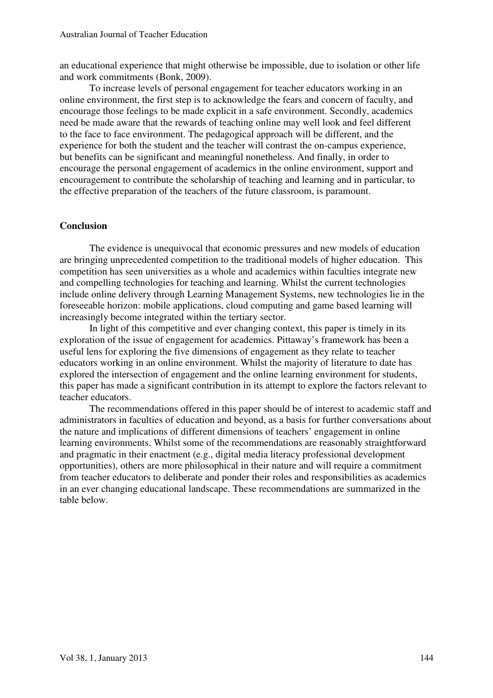an educational experience that might otherwise be impossible, due to isolation or other life and work commitments (Bonk, 2009).

To increase levels of personal engagement for teacher educators working in an online environment, the first step is to acknowledge the fears and concern of faculty, and encourage those feelings to be made explicit in a safe environment. Secondly, academics need be made aware that the rewards of teaching online may well look and feel different to the face to face environment. The pedagogical approach will be different, and the experience for both the student and the teacher will contrast the on-campus experience, but benefits can be significant and meaningful nonetheless. And finally, in order to encourage the personal engagement of academics in the online environment, support and encouragement to contribute the scholarship of teaching and learning and in particular, to the effective preparation of the teachers of the future classroom, is paramount.

### **Conclusion**

The evidence is unequivocal that economic pressures and new models of education are bringing unprecedented competition to the traditional models of higher education. This competition has seen universities as a whole and academics within faculties integrate new and compelling technologies for teaching and learning. Whilst the current technologies include online delivery through Learning Management Systems, new technologies lie in the foreseeable horizon: mobile applications, cloud computing and game based learning will increasingly become integrated within the tertiary sector.

In light of this competitive and ever changing context, this paper is timely in its exploration of the issue of engagement for academics. Pittaway's framework has been a useful lens for exploring the five dimensions of engagement as they relate to teacher educators working in an online environment. Whilst the majority of literature to date has explored the intersection of engagement and the online learning environment for students, this paper has made a significant contribution in its attempt to explore the factors relevant to teacher educators.

The recommendations offered in this paper should be of interest to academic staff and administrators in faculties of education and beyond, as a basis for further conversations about the nature and implications of different dimensions of teachers' engagement in online learning environments. Whilst some of the recommendations are reasonably straightforward and pragmatic in their enactment (e.g., digital media literacy professional development opportunities), others are more philosophical in their nature and will require a commitment from teacher educators to deliberate and ponder their roles and responsibilities as academics in an ever changing educational landscape. These recommendations are summarized in the table below.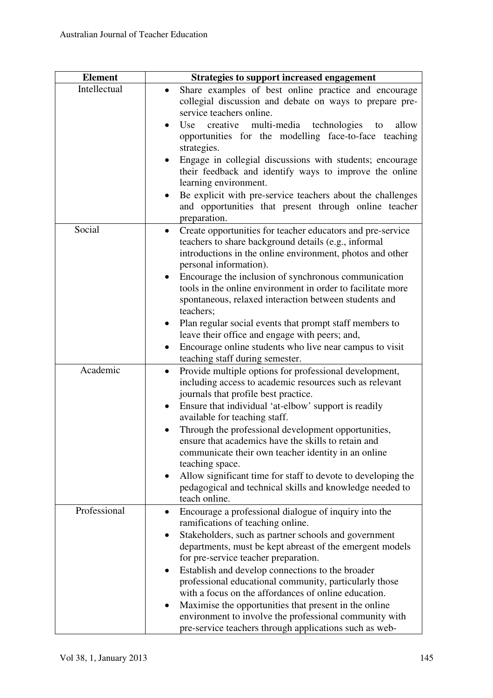| <b>Element</b> | <b>Strategies to support increased engagement</b>                                                                                                                                                                                                                                                                                        |
|----------------|------------------------------------------------------------------------------------------------------------------------------------------------------------------------------------------------------------------------------------------------------------------------------------------------------------------------------------------|
| Intellectual   | Share examples of best online practice and encourage<br>collegial discussion and debate on ways to prepare pre-<br>service teachers online.                                                                                                                                                                                              |
|                | creative multi-media technologies to<br>Use<br>allow<br>opportunities for the modelling face-to-face teaching<br>strategies.                                                                                                                                                                                                             |
|                | Engage in collegial discussions with students; encourage<br>their feedback and identify ways to improve the online<br>learning environment.                                                                                                                                                                                              |
|                | Be explicit with pre-service teachers about the challenges<br>and opportunities that present through online teacher<br>preparation.                                                                                                                                                                                                      |
| Social         | Create opportunities for teacher educators and pre-service<br>$\bullet$<br>teachers to share background details (e.g., informal<br>introductions in the online environment, photos and other<br>personal information).<br>Encourage the inclusion of synchronous communication<br>$\bullet$                                              |
|                | tools in the online environment in order to facilitate more<br>spontaneous, relaxed interaction between students and<br>teachers;                                                                                                                                                                                                        |
|                | Plan regular social events that prompt staff members to<br>leave their office and engage with peers; and,<br>Encourage online students who live near campus to visit<br>teaching staff during semester.                                                                                                                                  |
| Academic       | Provide multiple options for professional development,<br>$\bullet$<br>including access to academic resources such as relevant<br>journals that profile best practice.<br>Ensure that individual 'at-elbow' support is readily<br>$\bullet$<br>available for teaching staff.                                                             |
|                | Through the professional development opportunities,<br>ensure that academics have the skills to retain and<br>communicate their own teacher identity in an online<br>teaching space.<br>Allow significant time for staff to devote to developing the<br>٠<br>pedagogical and technical skills and knowledge needed to                    |
| Professional   | teach online.<br>Encourage a professional dialogue of inquiry into the<br>٠<br>ramifications of teaching online.                                                                                                                                                                                                                         |
|                | Stakeholders, such as partner schools and government<br>٠<br>departments, must be kept abreast of the emergent models<br>for pre-service teacher preparation.<br>Establish and develop connections to the broader<br>٠<br>professional educational community, particularly those<br>with a focus on the affordances of online education. |
|                | Maximise the opportunities that present in the online<br>٠<br>environment to involve the professional community with<br>pre-service teachers through applications such as web-                                                                                                                                                           |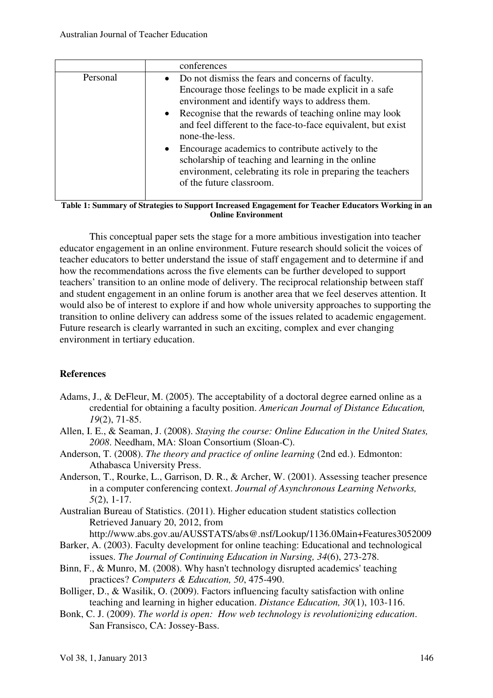|          | conferences                                                                                                                                                                                                                                                                                                                                                                                                                                                                                                                                 |
|----------|---------------------------------------------------------------------------------------------------------------------------------------------------------------------------------------------------------------------------------------------------------------------------------------------------------------------------------------------------------------------------------------------------------------------------------------------------------------------------------------------------------------------------------------------|
| Personal | • Do not dismiss the fears and concerns of faculty.<br>Encourage those feelings to be made explicit in a safe<br>environment and identify ways to address them.<br>Recognise that the rewards of teaching online may look<br>$\bullet$<br>and feel different to the face-to-face equivalent, but exist<br>none-the-less.<br>Encourage academics to contribute actively to the<br>$\bullet$<br>scholarship of teaching and learning in the online<br>environment, celebrating its role in preparing the teachers<br>of the future classroom. |

**Table 1: Summary of Strategies to Support Increased Engagement for Teacher Educators Working in an Online Environment** 

This conceptual paper sets the stage for a more ambitious investigation into teacher educator engagement in an online environment. Future research should solicit the voices of teacher educators to better understand the issue of staff engagement and to determine if and how the recommendations across the five elements can be further developed to support teachers' transition to an online mode of delivery. The reciprocal relationship between staff and student engagement in an online forum is another area that we feel deserves attention. It would also be of interest to explore if and how whole university approaches to supporting the transition to online delivery can address some of the issues related to academic engagement. Future research is clearly warranted in such an exciting, complex and ever changing environment in tertiary education.

# **References**

- Adams, J., & DeFleur, M. (2005). The acceptability of a doctoral degree earned online as a credential for obtaining a faculty position. *American Journal of Distance Education, 19*(2), 71-85.
- Allen, I. E., & Seaman, J. (2008). *Staying the course: Online Education in the United States, 2008*. Needham, MA: Sloan Consortium (Sloan-C).
- Anderson, T. (2008). *The theory and practice of online learning* (2nd ed.). Edmonton: Athabasca University Press.
- Anderson, T., Rourke, L., Garrison, D. R., & Archer, W. (2001). Assessing teacher presence in a computer conferencing context. *Journal of Asynchronous Learning Networks, 5*(2), 1-17.
- Australian Bureau of Statistics. (2011). Higher education student statistics collection Retrieved January 20, 2012, from

http://www.abs.gov.au/AUSSTATS/abs@.nsf/Lookup/1136.0Main+Features3052009

- Barker, A. (2003). Faculty development for online teaching: Educational and technological issues. *The Journal of Continuing Education in Nursing, 34*(6), 273-278.
- Binn, F., & Munro, M. (2008). Why hasn't technology disrupted academics' teaching practices? *Computers & Education, 50*, 475-490.
- Bolliger, D., & Wasilik, O. (2009). Factors influencing faculty satisfaction with online teaching and learning in higher education. *Distance Education, 30*(1), 103-116.
- Bonk, C. J. (2009). *The world is open: How web technology is revolutionizing education*. San Fransisco, CA: Jossey-Bass.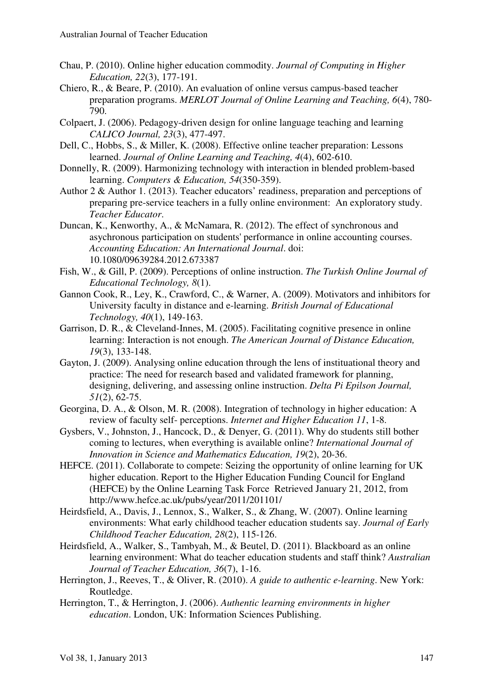- Chau, P. (2010). Online higher education commodity. *Journal of Computing in Higher Education, 22*(3), 177-191.
- Chiero, R., & Beare, P. (2010). An evaluation of online versus campus-based teacher preparation programs. *MERLOT Journal of Online Learning and Teaching, 6*(4), 780- 790.
- Colpaert, J. (2006). Pedagogy-driven design for online language teaching and learning *CALICO Journal, 23*(3), 477-497.
- Dell, C., Hobbs, S., & Miller, K. (2008). Effective online teacher preparation: Lessons learned. *Journal of Online Learning and Teaching, 4*(4), 602-610.
- Donnelly, R. (2009). Harmonizing technology with interaction in blended problem-based learning. *Computers & Education, 54*(350-359).
- Author 2 & Author 1. (2013). Teacher educators' readiness, preparation and perceptions of preparing pre-service teachers in a fully online environment: An exploratory study. *Teacher Educator*.
- Duncan, K., Kenworthy, A., & McNamara, R. (2012). The effect of synchronous and asychronous participation on students' performance in online accounting courses. *Accounting Education: An International Journal*. doi: 10.1080/09639284.2012.673387
- Fish, W., & Gill, P. (2009). Perceptions of online instruction. *The Turkish Online Journal of Educational Technology, 8*(1).
- Gannon Cook, R., Ley, K., Crawford, C., & Warner, A. (2009). Motivators and inhibitors for University faculty in distance and e-learning. *British Journal of Educational Technology, 40*(1), 149-163.
- Garrison, D. R., & Cleveland-Innes, M. (2005). Facilitating cognitive presence in online learning: Interaction is not enough. *The American Journal of Distance Education, 19*(3), 133-148.
- Gayton, J. (2009). Analysing online education through the lens of instituational theory and practice: The need for research based and validated framework for planning, designing, delivering, and assessing online instruction. *Delta Pi Epilson Journal, 51*(2), 62-75.
- Georgina, D. A., & Olson, M. R. (2008). Integration of technology in higher education: A review of faculty self- perceptions. *Internet and Higher Education 11*, 1-8.
- Gysbers, V., Johnston, J., Hancock, D., & Denyer, G. (2011). Why do students still bother coming to lectures, when everything is available online? *International Journal of Innovation in Science and Mathematics Education, 19*(2), 20-36.
- HEFCE. (2011). Collaborate to compete: Seizing the opportunity of online learning for UK higher education. Report to the Higher Education Funding Council for England (HEFCE) by the Online Learning Task Force Retrieved January 21, 2012, from http://www.hefce.ac.uk/pubs/year/2011/201101/
- Heirdsfield, A., Davis, J., Lennox, S., Walker, S., & Zhang, W. (2007). Online learning environments: What early childhood teacher education students say. *Journal of Early Childhood Teacher Education, 28*(2), 115-126.
- Heirdsfield, A., Walker, S., Tambyah, M., & Beutel, D. (2011). Blackboard as an online learning environment: What do teacher education students and staff think? *Australian Journal of Teacher Education, 36*(7), 1-16.
- Herrington, J., Reeves, T., & Oliver, R. (2010). *A guide to authentic e-learning*. New York: Routledge.
- Herrington, T., & Herrington, J. (2006). *Authentic learning environments in higher education*. London, UK: Information Sciences Publishing.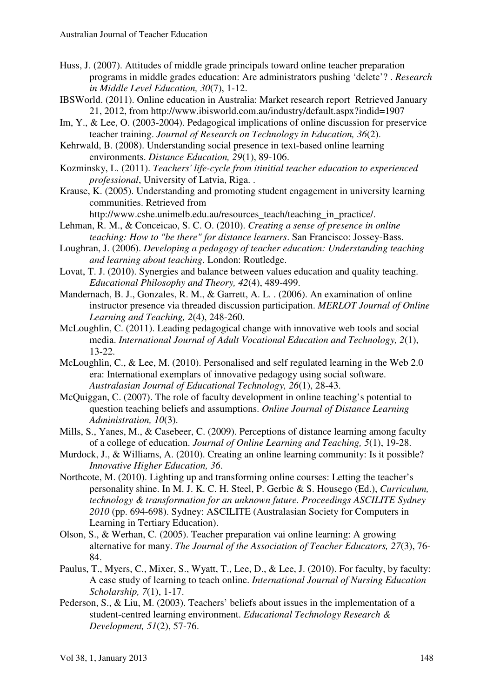- Huss, J. (2007). Attitudes of middle grade principals toward online teacher preparation programs in middle grades education: Are administrators pushing 'delete'? . *Research in Middle Level Education, 30*(7), 1-12.
- IBSWorld. (2011). Online education in Australia: Market research report Retrieved January 21, 2012, from http://www.ibisworld.com.au/industry/default.aspx?indid=1907
- Im, Y., & Lee, O. (2003-2004). Pedagogical implications of online discussion for preservice teacher training. *Journal of Research on Technology in Education, 36*(2).
- Kehrwald, B. (2008). Understanding social presence in text-based online learning environments. *Distance Education, 29*(1), 89-106.
- Kozminsky, L. (2011). *Teachers' life-cycle from itinitial teacher education to experienced professional*, University of Latvia, Riga. .
- Krause, K. (2005). Understanding and promoting student engagement in university learning communities. Retrieved from

http://www.cshe.unimelb.edu.au/resources\_teach/teaching\_in\_practice/.

- Lehman, R. M., & Conceicao, S. C. O. (2010). *Creating a sense of presence in online teaching: How to "be there" for distance learners*. San Francisco: Jossey-Bass.
- Loughran, J. (2006). *Developing a pedagogy of teacher education: Understanding teaching and learning about teaching*. London: Routledge.
- Lovat, T. J. (2010). Synergies and balance between values education and quality teaching. *Educational Philosophy and Theory, 42*(4), 489-499.
- Mandernach, B. J., Gonzales, R. M., & Garrett, A. L. . (2006). An examination of online instructor presence via threaded discussion participation. *MERLOT Journal of Online Learning and Teaching, 2*(4), 248-260.
- McLoughlin, C. (2011). Leading pedagogical change with innovative web tools and social media. *International Journal of Adult Vocational Education and Technology, 2*(1), 13-22.
- McLoughlin, C., & Lee, M. (2010). Personalised and self regulated learning in the Web 2.0 era: International exemplars of innovative pedagogy using social software. *Australasian Journal of Educational Technology, 26*(1), 28-43.
- McQuiggan, C. (2007). The role of faculty development in online teaching's potential to question teaching beliefs and assumptions. *Online Journal of Distance Learning Administration, 10*(3).
- Mills, S., Yanes, M., & Casebeer, C. (2009). Perceptions of distance learning among faculty of a college of education. *Journal of Online Learning and Teaching, 5*(1), 19-28.
- Murdock, J., & Williams, A. (2010). Creating an online learning community: Is it possible? *Innovative Higher Education, 36*.
- Northcote, M. (2010). Lighting up and transforming online courses: Letting the teacher's personality shine. In M. J. K. C. H. Steel, P. Gerbic & S. Housego (Ed.), *Curriculum, technology & transformation for an unknown future. Proceedings ASCILITE Sydney 2010* (pp. 694-698). Sydney: ASCILITE (Australasian Society for Computers in Learning in Tertiary Education).
- Olson, S., & Werhan, C. (2005). Teacher preparation vai online learning: A growing alternative for many. *The Journal of the Association of Teacher Educators, 27*(3), 76- 84.
- Paulus, T., Myers, C., Mixer, S., Wyatt, T., Lee, D., & Lee, J. (2010). For faculty, by faculty: A case study of learning to teach online. *International Journal of Nursing Education Scholarship, 7*(1), 1-17.
- Pederson, S., & Liu, M. (2003). Teachers' beliefs about issues in the implementation of a student-centred learning environment. *Educational Technology Research & Development, 51*(2), 57-76.